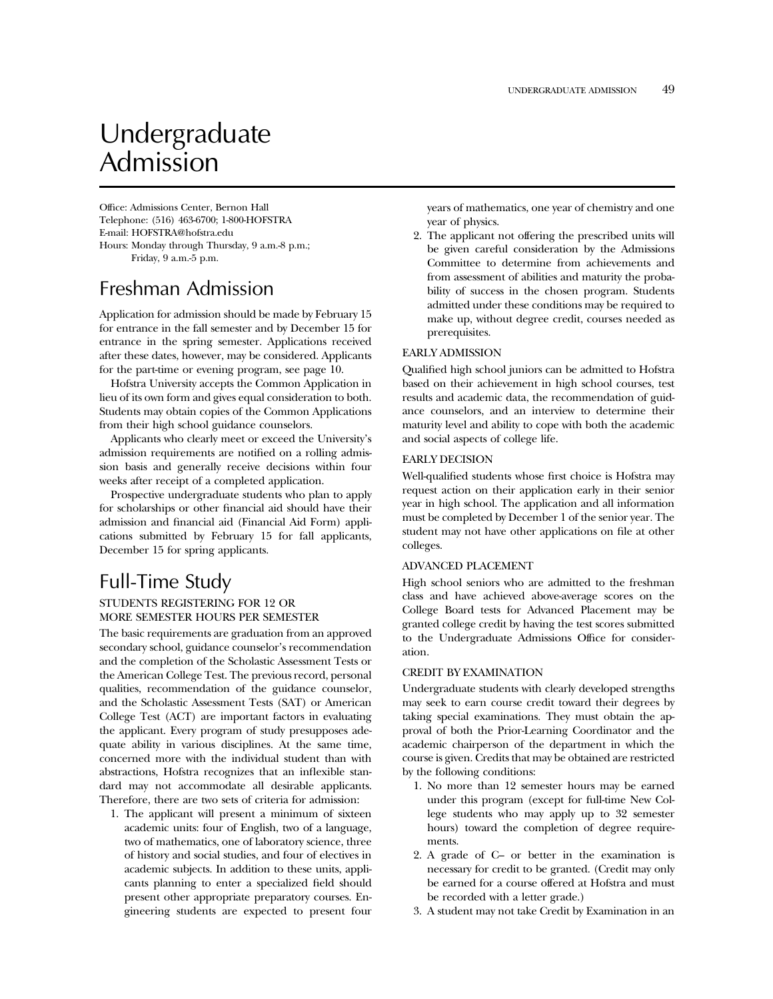# Undergraduate Admission

Office: Admissions Center, Bernon Hall Telephone: (516) 463-6700; 1-800-HOFSTRA E-mail: HOFSTRA@hofstra.edu Hours: Monday through Thursday, 9 a.m.-8 p.m.; Friday, 9 a.m.-5 p.m.

# Freshman Admission

Application for admission should be made by February 15 for entrance in the fall semester and by December 15 for entrance in the spring semester. Applications received after these dates, however, may be considered. Applicants for the part-time or evening program, see page 10.

Hofstra University accepts the Common Application in lieu of its own form and gives equal consideration to both. Students may obtain copies of the Common Applications from their high school guidance counselors.

Applicants who clearly meet or exceed the University's admission requirements are notified on a rolling admission basis and generally receive decisions within four weeks after receipt of a completed application.

Prospective undergraduate students who plan to apply for scholarships or other financial aid should have their admission and financial aid (Financial Aid Form) applications submitted by February 15 for fall applicants, December 15 for spring applicants.

# Full-Time Study

# STUDENTS REGISTERING FOR 12 OR MORE SEMESTER HOURS PER SEMESTER

The basic requirements are graduation from an approved secondary school, guidance counselor's recommendation and the completion of the Scholastic Assessment Tests or the American College Test. The previous record, personal qualities, recommendation of the guidance counselor, and the Scholastic Assessment Tests (SAT) or American College Test (ACT) are important factors in evaluating the applicant. Every program of study presupposes adequate ability in various disciplines. At the same time, concerned more with the individual student than with abstractions, Hofstra recognizes that an inflexible standard may not accommodate all desirable applicants. Therefore, there are two sets of criteria for admission:

1. The applicant will present a minimum of sixteen academic units: four of English, two of a language, two of mathematics, one of laboratory science, three of history and social studies, and four of electives in academic subjects. In addition to these units, applicants planning to enter a specialized field should present other appropriate preparatory courses. Engineering students are expected to present four

years of mathematics, one year of chemistry and one year of physics.

2. The applicant not offering the prescribed units will be given careful consideration by the Admissions Committee to determine from achievements and from assessment of abilities and maturity the probability of success in the chosen program. Students admitted under these conditions may be required to make up, without degree credit, courses needed as prerequisites.

# EARLY ADMISSION

Qualified high school juniors can be admitted to Hofstra based on their achievement in high school courses, test results and academic data, the recommendation of guidance counselors, and an interview to determine their maturity level and ability to cope with both the academic and social aspects of college life.

### EARLY DECISION

Well-qualified students whose first choice is Hofstra may request action on their application early in their senior year in high school. The application and all information must be completed by December 1 of the senior year. The student may not have other applications on file at other colleges.

### ADVANCED PLACEMENT

High school seniors who are admitted to the freshman class and have achieved above-average scores on the College Board tests for Advanced Placement may be granted college credit by having the test scores submitted to the Undergraduate Admissions Office for consideration.

# CREDIT BY EXAMINATION

Undergraduate students with clearly developed strengths may seek to earn course credit toward their degrees by taking special examinations. They must obtain the approval of both the Prior-Learning Coordinator and the academic chairperson of the department in which the course is given. Credits that may be obtained are restricted by the following conditions:

- 1. No more than 12 semester hours may be earned under this program (except for full-time New College students who may apply up to 32 semester hours) toward the completion of degree requirements.
- 2. A grade of C– or better in the examination is necessary for credit to be granted. (Credit may only be earned for a course offered at Hofstra and must be recorded with a letter grade.)
- 3. A student may not take Credit by Examination in an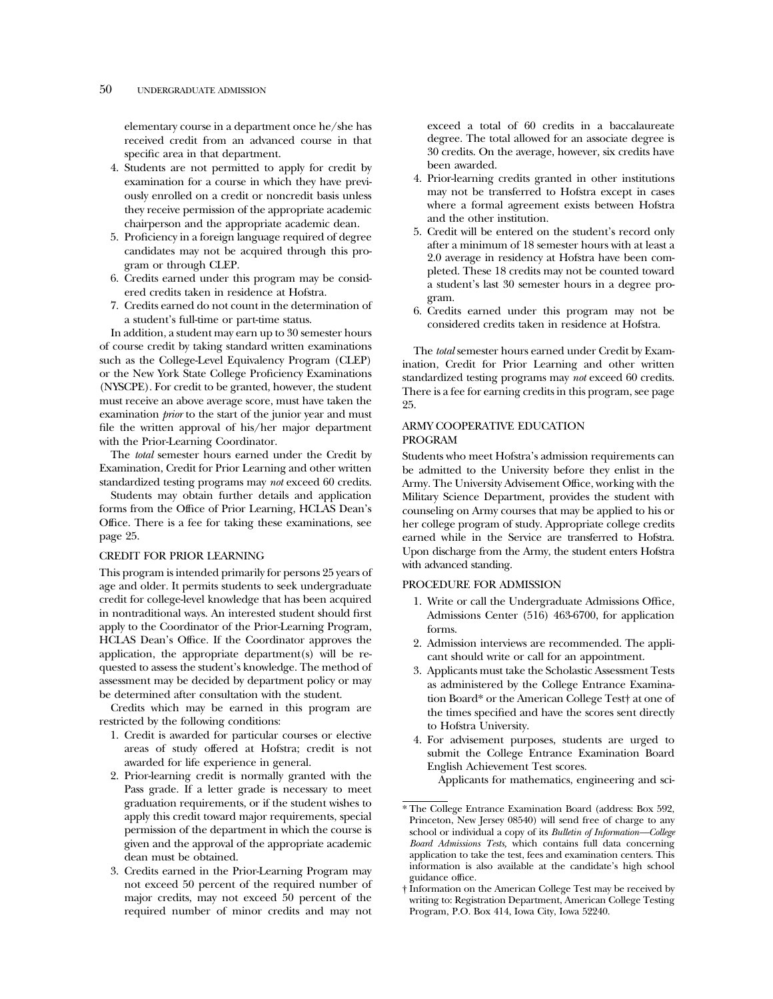elementary course in a department once he/she has received credit from an advanced course in that specific area in that department.

- 4. Students are not permitted to apply for credit by examination for a course in which they have previously enrolled on a credit or noncredit basis unless they receive permission of the appropriate academic chairperson and the appropriate academic dean.
- 5. Proficiency in a foreign language required of degree candidates may not be acquired through this program or through CLEP.
- 6. Credits earned under this program may be considered credits taken in residence at Hofstra.
- 7. Credits earned do not count in the determination of a student's full-time or part-time status.

In addition, a student may earn up to 30 semester hours of course credit by taking standard written examinations such as the College-Level Equivalency Program (CLEP) or the New York State College Proficiency Examinations (NYSCPE). For credit to be granted, however, the student must receive an above average score, must have taken the examination *prior* to the start of the junior year and must file the written approval of his/her major department with the Prior-Learning Coordinator.

The *total* semester hours earned under the Credit by Examination, Credit for Prior Learning and other written standardized testing programs may *not* exceed 60 credits.

Students may obtain further details and application forms from the Office of Prior Learning, HCLAS Dean's Office. There is a fee for taking these examinations, see page 25.

#### CREDIT FOR PRIOR LEARNING

This program is intended primarily for persons 25 years of age and older. It permits students to seek undergraduate credit for college-level knowledge that has been acquired in nontraditional ways. An interested student should first apply to the Coordinator of the Prior-Learning Program, HCLAS Dean's Office. If the Coordinator approves the application, the appropriate department(s) will be requested to assess the student's knowledge. The method of assessment may be decided by department policy or may be determined after consultation with the student.

Credits which may be earned in this program are restricted by the following conditions:

- 1. Credit is awarded for particular courses or elective areas of study offered at Hofstra; credit is not awarded for life experience in general.
- 2. Prior-learning credit is normally granted with the Pass grade. If a letter grade is necessary to meet graduation requirements, or if the student wishes to apply this credit toward major requirements, special permission of the department in which the course is given and the approval of the appropriate academic dean must be obtained.
- 3. Credits earned in the Prior-Learning Program may not exceed 50 percent of the required number of major credits, may not exceed 50 percent of the required number of minor credits and may not

exceed a total of 60 credits in a baccalaureate degree. The total allowed for an associate degree is 30 credits. On the average, however, six credits have been awarded.

- 4. Prior-learning credits granted in other institutions may not be transferred to Hofstra except in cases where a formal agreement exists between Hofstra and the other institution.
- 5. Credit will be entered on the student's record only after a minimum of 18 semester hours with at least a 2.0 average in residency at Hofstra have been completed. These 18 credits may not be counted toward a student's last 30 semester hours in a degree program.
- 6. Credits earned under this program may not be considered credits taken in residence at Hofstra.

The *total* semester hours earned under Credit by Examination, Credit for Prior Learning and other written standardized testing programs may *not* exceed 60 credits. There is a fee for earning credits in this program, see page 25.

# ARMY COOPERATIVE EDUCATION PROGRAM

Students who meet Hofstra's admission requirements can be admitted to the University before they enlist in the Army. The University Advisement Office, working with the Military Science Department, provides the student with counseling on Army courses that may be applied to his or her college program of study. Appropriate college credits earned while in the Service are transferred to Hofstra. Upon discharge from the Army, the student enters Hofstra with advanced standing.

#### PROCEDURE FOR ADMISSION

- 1. Write or call the Undergraduate Admissions Office, Admissions Center (516) 463-6700, for application forms.
- 2. Admission interviews are recommended. The applicant should write or call for an appointment.
- 3. Applicants must take the Scholastic Assessment Tests as administered by the College Entrance Examination Board\* or the American College Test† at one of the times specified and have the scores sent directly to Hofstra University.
- 4. For advisement purposes, students are urged to submit the College Entrance Examination Board English Achievement Test scores.

Applicants for mathematics, engineering and sci-

<sup>\*</sup> The College Entrance Examination Board (address: Box 592, Princeton, New Jersey 08540) will send free of charge to any school or individual a copy of its *Bulletin of Information—College Board Admissions Tests,* which contains full data concerning application to take the test, fees and examination centers. This information is also available at the candidate's high school guidance office.

<sup>†</sup> Information on the American College Test may be received by writing to: Registration Department, American College Testing Program, P.O. Box 414, Iowa City, Iowa 52240.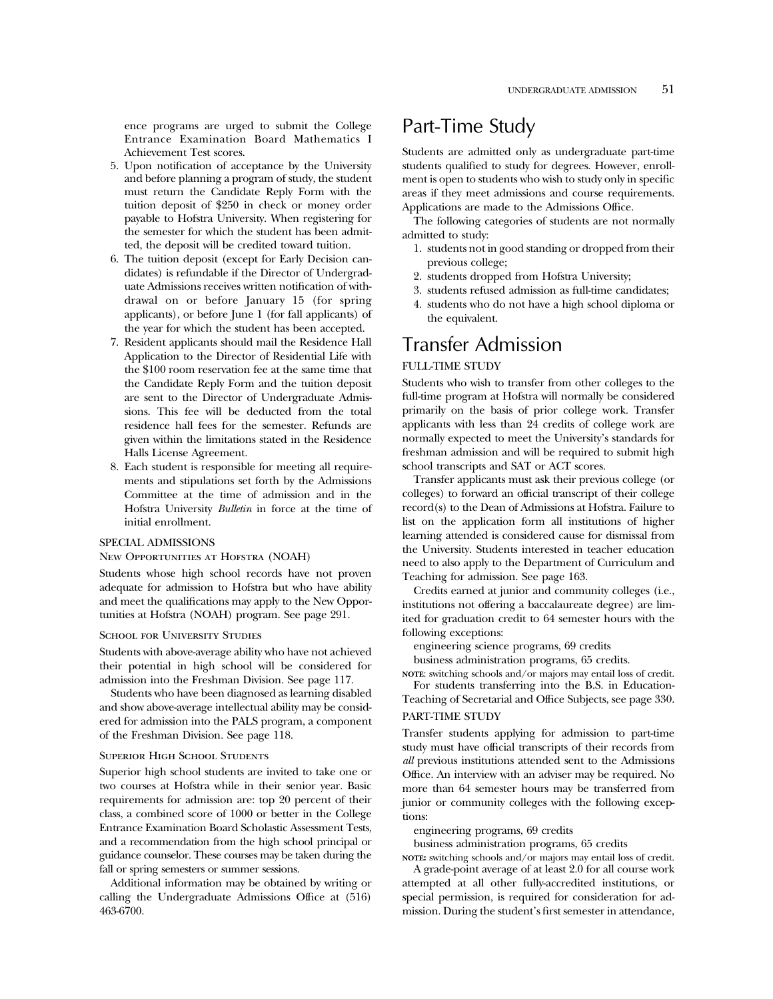ence programs are urged to submit the College Entrance Examination Board Mathematics I Achievement Test scores.

- 5. Upon notification of acceptance by the University and before planning a program of study, the student must return the Candidate Reply Form with the tuition deposit of \$250 in check or money order payable to Hofstra University. When registering for the semester for which the student has been admitted, the deposit will be credited toward tuition.
- 6. The tuition deposit (except for Early Decision candidates) is refundable if the Director of Undergraduate Admissions receives written notification of withdrawal on or before January 15 (for spring applicants), or before June 1 (for fall applicants) of the year for which the student has been accepted.
- 7. Resident applicants should mail the Residence Hall Application to the Director of Residential Life with the \$100 room reservation fee at the same time that the Candidate Reply Form and the tuition deposit are sent to the Director of Undergraduate Admissions. This fee will be deducted from the total residence hall fees for the semester. Refunds are given within the limitations stated in the Residence Halls License Agreement.
- 8. Each student is responsible for meeting all requirements and stipulations set forth by the Admissions Committee at the time of admission and in the Hofstra University *Bulletin* in force at the time of initial enrollment.

#### SPECIAL ADMISSIONS

#### New Opportunities at Hofstra (NOAH)

Students whose high school records have not proven adequate for admission to Hofstra but who have ability and meet the qualifications may apply to the New Opportunities at Hofstra (NOAH) program. See page 291.

#### SCHOOL FOR UNIVERSITY STUDIES

Students with above-average ability who have not achieved their potential in high school will be considered for admission into the Freshman Division. See page 117.

Students who have been diagnosed as learning disabled and show above-average intellectual ability may be considered for admission into the PALS program, a component of the Freshman Division. See page 118.

#### Superior High School Students

Superior high school students are invited to take one or two courses at Hofstra while in their senior year. Basic requirements for admission are: top 20 percent of their class, a combined score of 1000 or better in the College Entrance Examination Board Scholastic Assessment Tests, and a recommendation from the high school principal or guidance counselor. These courses may be taken during the fall or spring semesters or summer sessions.

Additional information may be obtained by writing or calling the Undergraduate Admissions Office at (516) 463-6700.

# Part-Time Study

Students are admitted only as undergraduate part-time students qualified to study for degrees. However, enrollment is open to students who wish to study only in specific areas if they meet admissions and course requirements. Applications are made to the Admissions Office.

The following categories of students are not normally admitted to study:

- 1. students not in good standing or dropped from their previous college;
- 2. students dropped from Hofstra University;
- 3. students refused admission as full-time candidates;
- 4. students who do not have a high school diploma or the equivalent.

# Transfer Admission

### FULL-TIME STUDY

Students who wish to transfer from other colleges to the full-time program at Hofstra will normally be considered primarily on the basis of prior college work. Transfer applicants with less than 24 credits of college work are normally expected to meet the University's standards for freshman admission and will be required to submit high school transcripts and SAT or ACT scores.

Transfer applicants must ask their previous college (or colleges) to forward an official transcript of their college record(s) to the Dean of Admissions at Hofstra. Failure to list on the application form all institutions of higher learning attended is considered cause for dismissal from the University. Students interested in teacher education need to also apply to the Department of Curriculum and Teaching for admission. See page 163.

Credits earned at junior and community colleges (i.e., institutions not offering a baccalaureate degree) are limited for graduation credit to 64 semester hours with the following exceptions:

engineering science programs, 69 credits

business administration programs, 65 credits.

**NOTE**: switching schools and/or majors may entail loss of credit. For students transferring into the B.S. in Education-

Teaching of Secretarial and Office Subjects, see page 330.

# PART-TIME STUDY

Transfer students applying for admission to part-time study must have official transcripts of their records from *all* previous institutions attended sent to the Admissions Office. An interview with an adviser may be required. No more than 64 semester hours may be transferred from junior or community colleges with the following exceptions:

engineering programs, 69 credits

business administration programs, 65 credits

**NOTE:** switching schools and/or majors may entail loss of credit. A grade-point average of at least 2.0 for all course work attempted at all other fully-accredited institutions, or special permission, is required for consideration for ad-

mission. During the student's first semester in attendance,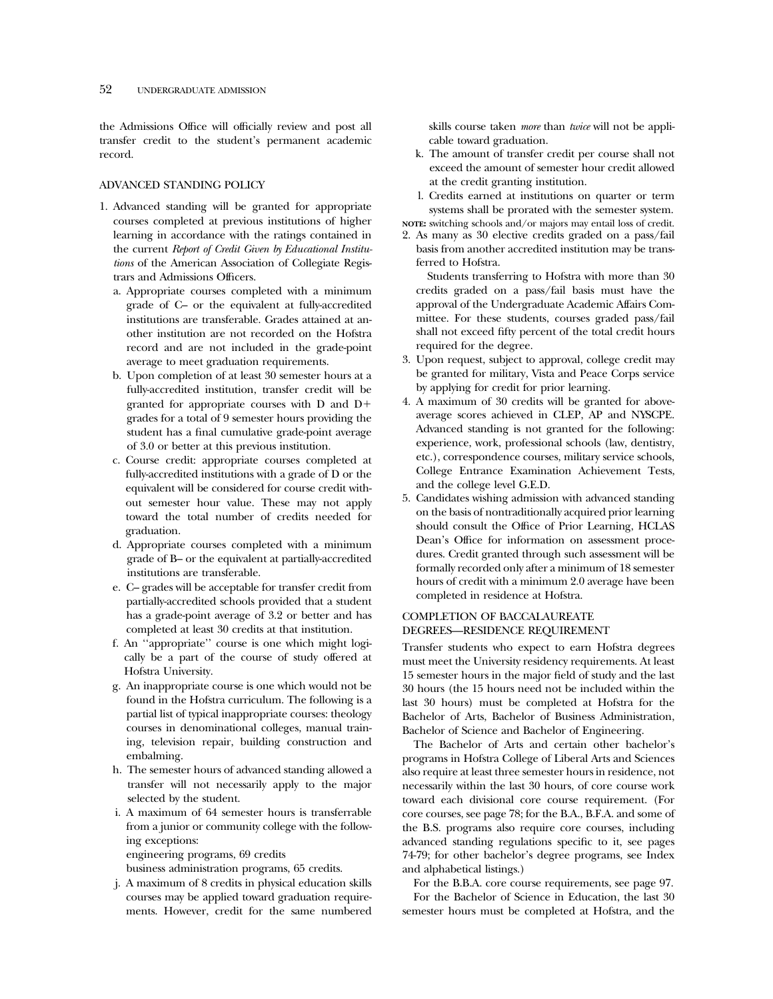the Admissions Office will officially review and post all transfer credit to the student's permanent academic record.

### ADVANCED STANDING POLICY

- 1. Advanced standing will be granted for appropriate courses completed at previous institutions of higher learning in accordance with the ratings contained in the current *Report of Credit Given by Educational Institutions* of the American Association of Collegiate Registrars and Admissions Officers.
	- a. Appropriate courses completed with a minimum grade of C– or the equivalent at fully-accredited institutions are transferable. Grades attained at another institution are not recorded on the Hofstra record and are not included in the grade-point average to meet graduation requirements.
	- b. Upon completion of at least 30 semester hours at a fully-accredited institution, transfer credit will be granted for appropriate courses with D and D1 grades for a total of 9 semester hours providing the student has a final cumulative grade-point average of 3.0 or better at this previous institution.
	- c. Course credit: appropriate courses completed at fully-accredited institutions with a grade of D or the equivalent will be considered for course credit without semester hour value. These may not apply toward the total number of credits needed for graduation.
	- d. Appropriate courses completed with a minimum grade of B– or the equivalent at partially-accredited institutions are transferable.
	- e. C– grades will be acceptable for transfer credit from partially-accredited schools provided that a student has a grade-point average of 3.2 or better and has completed at least 30 credits at that institution.
	- f. An ''appropriate'' course is one which might logically be a part of the course of study offered at Hofstra University.
	- g. An inappropriate course is one which would not be found in the Hofstra curriculum. The following is a partial list of typical inappropriate courses: theology courses in denominational colleges, manual training, television repair, building construction and embalming.
	- h. The semester hours of advanced standing allowed a transfer will not necessarily apply to the major selected by the student.
	- i. A maximum of 64 semester hours is transferrable from a junior or community college with the following exceptions:

engineering programs, 69 credits

business administration programs, 65 credits.

j. A maximum of 8 credits in physical education skills courses may be applied toward graduation requirements. However, credit for the same numbered skills course taken *more* than *twice* will not be applicable toward graduation.

- k. The amount of transfer credit per course shall not exceed the amount of semester hour credit allowed at the credit granting institution.
- l. Credits earned at institutions on quarter or term systems shall be prorated with the semester system.
- **NOTE:** switching schools and/or majors may entail loss of credit. 2. As many as 30 elective credits graded on a pass/fail basis from another accredited institution may be transferred to Hofstra.

Students transferring to Hofstra with more than 30 credits graded on a pass/fail basis must have the approval of the Undergraduate Academic Affairs Committee. For these students, courses graded pass/fail shall not exceed fifty percent of the total credit hours required for the degree.

- 3. Upon request, subject to approval, college credit may be granted for military, Vista and Peace Corps service by applying for credit for prior learning.
- 4. A maximum of 30 credits will be granted for aboveaverage scores achieved in CLEP, AP and NYSCPE. Advanced standing is not granted for the following: experience, work, professional schools (law, dentistry, etc.), correspondence courses, military service schools, College Entrance Examination Achievement Tests, and the college level G.E.D.
- 5. Candidates wishing admission with advanced standing on the basis of nontraditionally acquired prior learning should consult the Office of Prior Learning, HCLAS Dean's Office for information on assessment procedures. Credit granted through such assessment will be formally recorded only after a minimum of 18 semester hours of credit with a minimum 2.0 average have been completed in residence at Hofstra.

# COMPLETION OF BACCALAUREATE DEGREES—RESIDENCE REQUIREMENT

Transfer students who expect to earn Hofstra degrees must meet the University residency requirements. At least 15 semester hours in the major field of study and the last 30 hours (the 15 hours need not be included within the last 30 hours) must be completed at Hofstra for the Bachelor of Arts, Bachelor of Business Administration, Bachelor of Science and Bachelor of Engineering.

The Bachelor of Arts and certain other bachelor's programs in Hofstra College of Liberal Arts and Sciences also require at least three semester hours in residence, not necessarily within the last 30 hours, of core course work toward each divisional core course requirement. (For core courses, see page 78; for the B.A., B.F.A. and some of the B.S. programs also require core courses, including advanced standing regulations specific to it, see pages 74-79; for other bachelor's degree programs, see Index and alphabetical listings.)

For the B.B.A. core course requirements, see page 97. For the Bachelor of Science in Education, the last 30 semester hours must be completed at Hofstra, and the